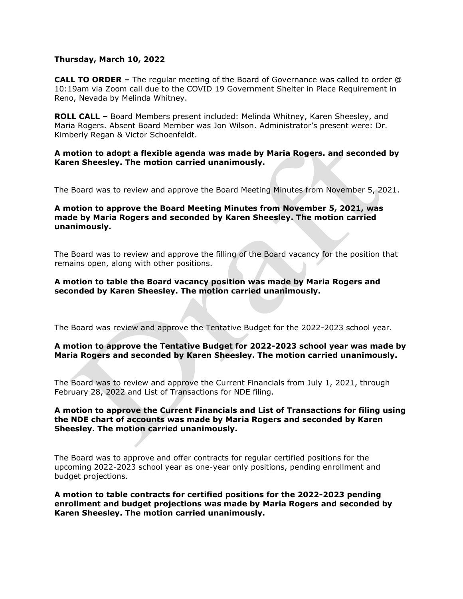## **Thursday, March 10, 2022**

**CALL TO ORDER –** The regular meeting of the Board of Governance was called to order @ 10:19am via Zoom call due to the COVID 19 Government Shelter in Place Requirement in Reno, Nevada by Melinda Whitney.

**ROLL CALL –** Board Members present included: Melinda Whitney, Karen Sheesley, and Maria Rogers. Absent Board Member was Jon Wilson. Administrator's present were: Dr. Kimberly Regan & Victor Schoenfeldt.

### **A motion to adopt a flexible agenda was made by Maria Rogers. and seconded by Karen Sheesley. The motion carried unanimously.**

The Board was to review and approve the Board Meeting Minutes from November 5, 2021.

## **A motion to approve the Board Meeting Minutes from November 5, 2021, was made by Maria Rogers and seconded by Karen Sheesley. The motion carried unanimously.**

The Board was to review and approve the filling of the Board vacancy for the position that remains open, along with other positions.

### **A motion to table the Board vacancy position was made by Maria Rogers and seconded by Karen Sheesley. The motion carried unanimously.**

The Board was review and approve the Tentative Budget for the 2022-2023 school year.

# **A motion to approve the Tentative Budget for 2022-2023 school year was made by Maria Rogers and seconded by Karen Sheesley. The motion carried unanimously.**

The Board was to review and approve the Current Financials from July 1, 2021, through February 28, 2022 and List of Transactions for NDE filing.

## **A motion to approve the Current Financials and List of Transactions for filing using the NDE chart of accounts was made by Maria Rogers and seconded by Karen Sheesley. The motion carried unanimously.**

The Board was to approve and offer contracts for regular certified positions for the upcoming 2022-2023 school year as one-year only positions, pending enrollment and budget projections.

**A motion to table contracts for certified positions for the 2022-2023 pending enrollment and budget projections was made by Maria Rogers and seconded by Karen Sheesley. The motion carried unanimously.**